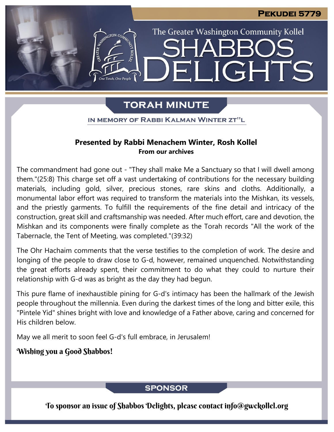The Greater Washington Community Kollel

ELIGHTS

## **TORAH MINUTE**

IN MEMORY OF RABBI KALMAN WINTER ZT"L

### **Presented by Rabbi Menachem Winter, Rosh Kollel From our archives**

The commandment had gone out - "They shall make Me a Sanctuary so that I will dwell among them."(25:8) This charge set off a vast undertaking of contributions for the necessary building materials, including gold, silver, precious stones, rare skins and cloths. Additionally, a monumental labor effort was required to transform the materials into the Mishkan, its vessels, and the priestly garments. To fulfill the requirements of the fine detail and intricacy of the construction, great skill and craftsmanship was needed. After much effort, care and devotion, the Mishkan and its components were finally complete as the Torah records "All the work of the Tabernacle, the Tent of Meeting, was completed."(39:32)

The Ohr Hachaim comments that the verse testifies to the completion of work. The desire and longing of the people to draw close to G-d, however, remained unquenched. Notwithstanding the great efforts already spent, their commitment to do what they could to nurture their relationship with G-d was as bright as the day they had begun.

This pure flame of inexhaustible pining for G-d's intimacy has been the hallmark of the Jewish people throughout the millennia. Even during the darkest times of the long and bitter exile, this "Pintele Yid" shines bright with love and knowledge of a Father above, caring and concerned for His children below.

May we all merit to soon feel G-d's full embrace, in Jerusalem!

### Wishing you a Good Shabbos!

**SPONSOR** 

To sponsor an issue of Shabbos Delights, please contact info@gwckollel.org